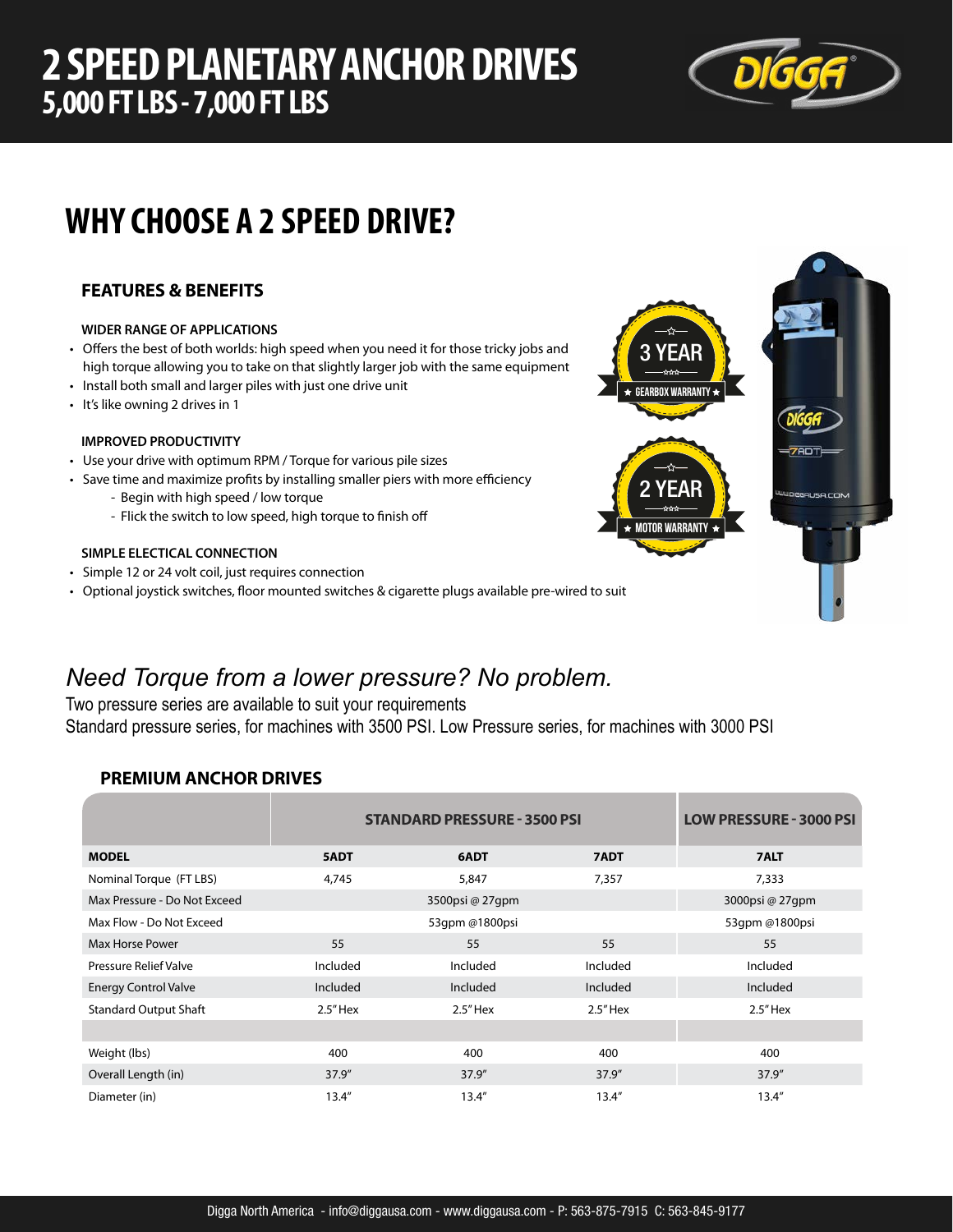## **2 SPEED PLANETARY ANCHOR DRIVES 5,000 FT LBS - 7,000 FT LBS**



# **WHY CHOOSE A 2 SPEED DRIVE?**

## **FEATURES & BENEFITS**

### **WIDER RANGE OF APPLICATIONS**

- Offers the best of both worlds: high speed when you need it for those tricky jobs and high torque allowing you to take on that slightly larger job with the same equipment
- Install both small and larger piles with just one drive unit
- It's like owning 2 drives in 1

## **IMPROVED PRODUCTIVITY**

- Use your drive with optimum RPM / Torque for various pile sizes
- Save time and maximize profits by installing smaller piers with more efficiency
	- Begin with high speed / low torque
	- Flick the switch to low speed, high torque to finish off

#### **SIMPLE ELECTICAL CONNECTION**

- Simple 12 or 24 volt coil, just requires connection
- Optional joystick switches, floor mounted switches & cigarette plugs available pre-wired to suit

## *Need Torque from a lower pressure? No problem.*

Two pressure series are available to suit your requirements Standard pressure series, for machines with 3500 PSI. Low Pressure series, for machines with 3000 PSI

## **PREMIUM ANCHOR DRIVES**

|                              | <b>STANDARD PRESSURE - 3500 PSI</b> | <b>LOW PRESSURE - 3000 PSI</b> |            |                 |
|------------------------------|-------------------------------------|--------------------------------|------------|-----------------|
| <b>MODEL</b>                 | 5ADT                                | 6ADT                           | 7ADT       | 7ALT            |
| Nominal Torque (FT LBS)      | 4,745                               | 5,847                          | 7,357      | 7,333           |
| Max Pressure - Do Not Exceed |                                     | 3500psi @ 27qpm                |            | 3000psi @ 27qpm |
| Max Flow - Do Not Exceed     |                                     | 53qpm @1800psi                 |            | 53qpm @1800psi  |
| <b>Max Horse Power</b>       | 55                                  | 55                             | 55         | 55              |
| <b>Pressure Relief Valve</b> | Included                            | Included                       | Included   | Included        |
| <b>Energy Control Valve</b>  | Included                            | Included                       | Included   | Included        |
| <b>Standard Output Shaft</b> | $2.5"$ Hex                          | $2.5"$ Hex                     | $2.5"$ Hex | $2.5"$ Hex      |
|                              |                                     |                                |            |                 |
| Weight (lbs)                 | 400                                 | 400                            | 400        | 400             |
| Overall Length (in)          | 37.9''                              | 37.9''                         | 37.9''     | 37.9''          |
| Diameter (in)                | 13.4''                              | 13.4''                         | 13.4''     | 13.4''          |